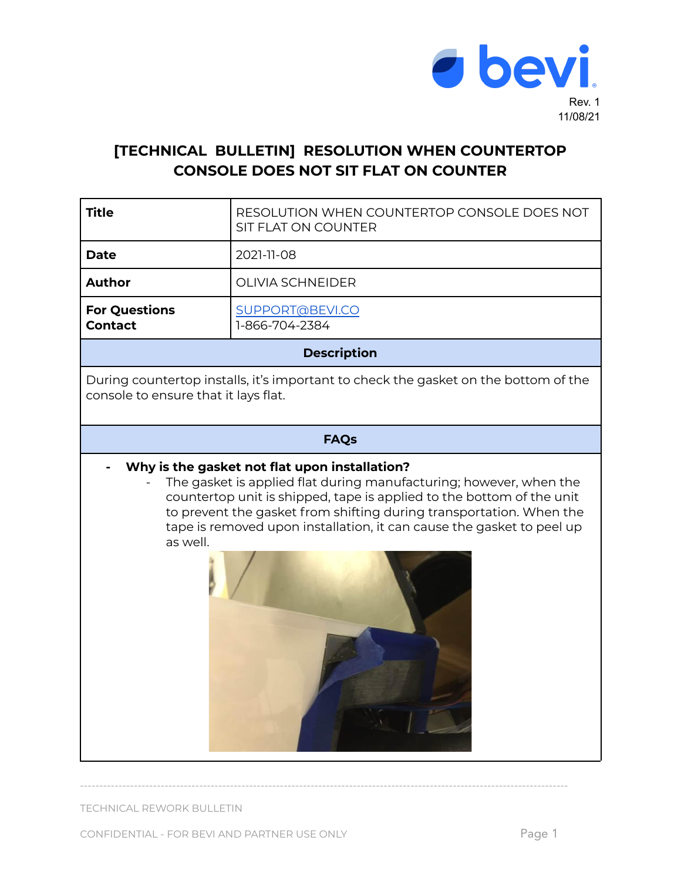

## **[TECHNICAL BULLETIN] RESOLUTION WHEN COUNTERTOP CONSOLE DOES NOT SIT FLAT ON COUNTER**

┱

| <b>Title</b>                                                                                                                                                                                                                                                                                                                                             | RESOLUTION WHEN COUNTERTOP CONSOLE DOES NOT<br>SIT FLAT ON COUNTER |
|----------------------------------------------------------------------------------------------------------------------------------------------------------------------------------------------------------------------------------------------------------------------------------------------------------------------------------------------------------|--------------------------------------------------------------------|
| <b>Date</b>                                                                                                                                                                                                                                                                                                                                              | 2021-11-08                                                         |
| <b>Author</b>                                                                                                                                                                                                                                                                                                                                            | <b>OLIVIA SCHNEIDER</b>                                            |
| <b>For Questions</b><br><b>Contact</b>                                                                                                                                                                                                                                                                                                                   | SUPPORT@BEVI.CO<br>1-866-704-2384                                  |
| <b>Description</b>                                                                                                                                                                                                                                                                                                                                       |                                                                    |
| During countertop installs, it's important to check the gasket on the bottom of the<br>console to ensure that it lays flat.                                                                                                                                                                                                                              |                                                                    |
| <b>FAQs</b>                                                                                                                                                                                                                                                                                                                                              |                                                                    |
| Why is the gasket not flat upon installation?<br>The gasket is applied flat during manufacturing; however, when the<br>countertop unit is shipped, tape is applied to the bottom of the unit<br>to prevent the gasket from shifting during transportation. When the<br>tape is removed upon installation, it can cause the gasket to peel up<br>as well. |                                                                    |

-------------------------------------------------------------------------------------------------------------------------------

TECHNICAL REWORK BULLETIN

CONFIDENTIAL - FOR BEVI AND PARTNER USE ONLY Page 1